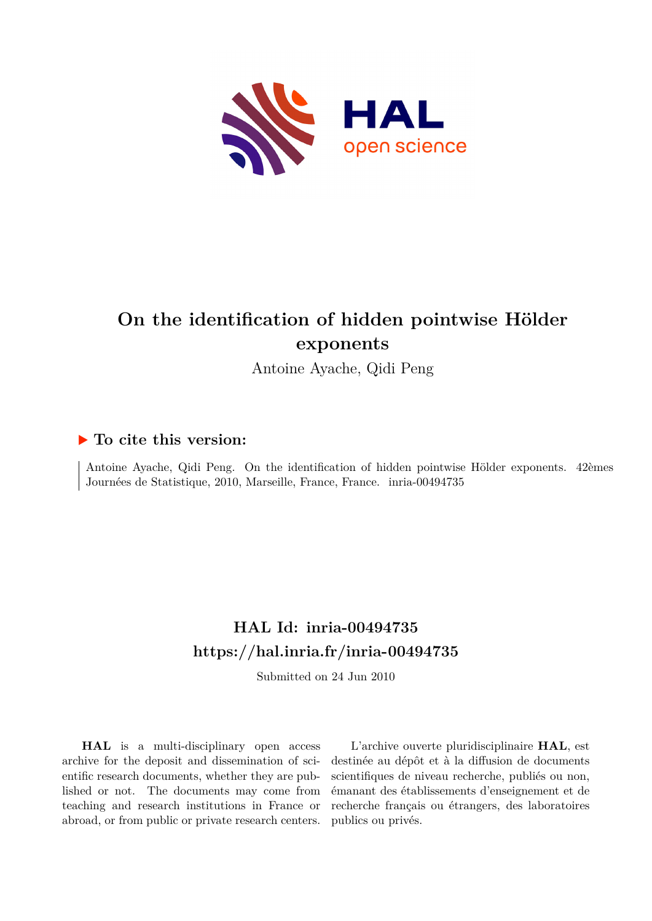

# **On the identification of hidden pointwise Hölder exponents**

Antoine Ayache, Qidi Peng

### **To cite this version:**

Antoine Ayache, Qidi Peng. On the identification of hidden pointwise Hölder exponents. 42èmes Journées de Statistique, 2010, Marseille, France, France. inria-00494735

## **HAL Id: inria-00494735 <https://hal.inria.fr/inria-00494735>**

Submitted on 24 Jun 2010

**HAL** is a multi-disciplinary open access archive for the deposit and dissemination of scientific research documents, whether they are published or not. The documents may come from teaching and research institutions in France or abroad, or from public or private research centers.

L'archive ouverte pluridisciplinaire **HAL**, est destinée au dépôt et à la diffusion de documents scientifiques de niveau recherche, publiés ou non, émanant des établissements d'enseignement et de recherche français ou étrangers, des laboratoires publics ou privés.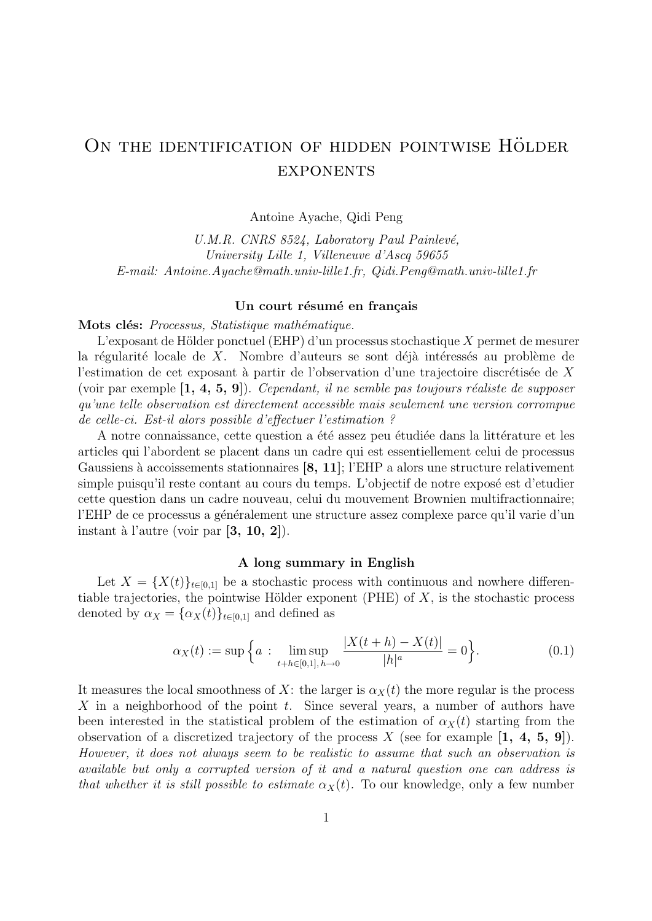## ON THE IDENTIFICATION OF HIDDEN POINTWISE HÖLDER **EXPONENTS**

Antoine Ayache, Qidi Peng

U.M.R. CNRS  $8524$ , Laboratory Paul Painlevé, University Lille 1, Villeneuve d'Ascq 59655 E-mail: Antoine.Ayache@math.univ-lille1.fr, Qidi.Peng@math.univ-lille1.fr

#### Un court résumé en français

Mots clés: Processus, Statistique mathématique.

L'exposant de Hölder ponctuel (EHP) d'un processus stochastique  $X$  permet de mesurer la régularité locale de X. Nombre d'auteurs se sont déjà intéressés au problème de l'estimation de cet exposant à partir de l'observation d'une trajectoire discrétisée de X (voir par exemple  $\left[1, 4, 5, 9\right]$ ). Cependant, il ne semble pas toujours réaliste de supposer qu'une telle observation est directement accessible mais seulement une version corrompue de celle-ci. Est-il alors possible d'effectuer l'estimation ?

A notre connaissance, cette question a été assez peu étudiée dans la littérature et les articles qui l'abordent se placent dans un cadre qui est essentiellement celui de processus Gaussiens à accoissements stationnaires  $[8, 11]$ ; l'EHP a alors une structure relativement simple puisqu'il reste contant au cours du temps. L'objectif de notre exposé est d'etudier cette question dans un cadre nouveau, celui du mouvement Brownien multifractionnaire; l'EHP de ce processus a généralement une structure assez complexe parce qu'il varie d'un instant à l'autre (voir par  $[3, 10, 2]$ ).

#### A long summary in English

Let  $X = \{X(t)\}_{t\in[0,1]}$  be a stochastic process with continuous and nowhere differentiable trajectories, the pointwise Hölder exponent (PHE) of  $X$ , is the stochastic process denoted by  $\alpha_X = {\alpha_X(t)}_{t \in [0,1]}$  and defined as

$$
\alpha_X(t) := \sup \Big\{ a : \limsup_{t+h \in [0,1], h \to 0} \frac{|X(t+h) - X(t)|}{|h|^a} = 0 \Big\}.
$$
 (0.1)

It measures the local smoothness of X: the larger is  $\alpha_X(t)$  the more regular is the process X in a neighborhood of the point t. Since several years, a number of authors have been interested in the statistical problem of the estimation of  $\alpha_X(t)$  starting from the observation of a discretized trajectory of the process X (see for example  $[1, 4, 5, 9]$ ). However, it does not always seem to be realistic to assume that such an observation is available but only a corrupted version of it and a natural question one can address is that whether it is still possible to estimate  $\alpha_X(t)$ . To our knowledge, only a few number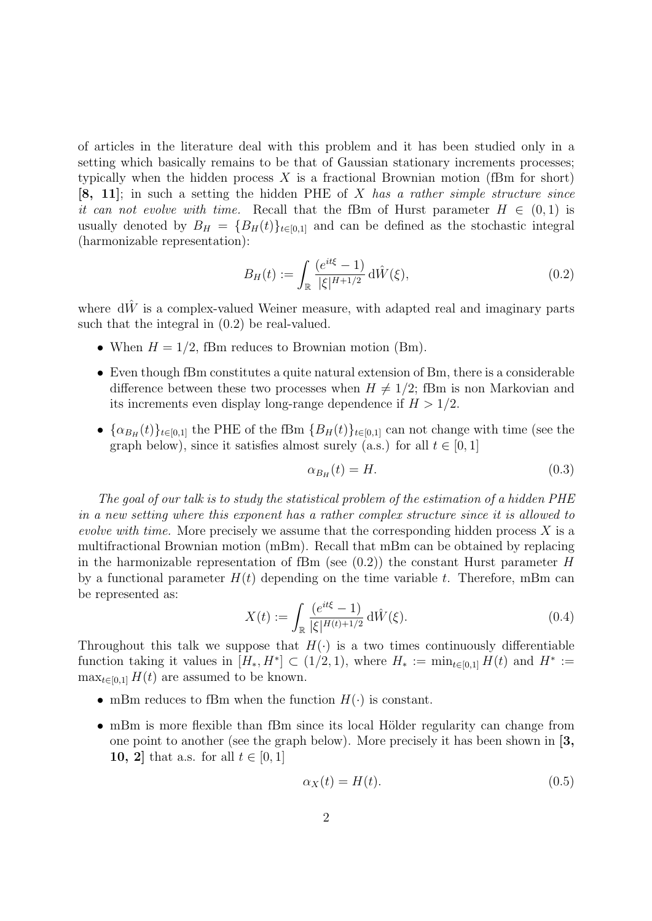of articles in the literature deal with this problem and it has been studied only in a setting which basically remains to be that of Gaussian stationary increments processes; typically when the hidden process  $X$  is a fractional Brownian motion (fBm for short)  $[8, 11]$ ; in such a setting the hidden PHE of X has a rather simple structure since it can not evolve with time. Recall that the fBm of Hurst parameter  $H \in (0,1)$  is usually denoted by  $B_H = \{B_H(t)\}_{t\in[0,1]}$  and can be defined as the stochastic integral (harmonizable representation):

$$
B_H(t) := \int_{\mathbb{R}} \frac{(e^{it\xi} - 1)}{|\xi|^{H + 1/2}} \, \mathrm{d}\hat{W}(\xi),\tag{0.2}
$$

where  $d\hat{W}$  is a complex-valued Weiner measure, with adapted real and imaginary parts such that the integral in (0.2) be real-valued.

- When  $H = 1/2$ , fBm reduces to Brownian motion (Bm).
- Even though fBm constitutes a quite natural extension of Bm, there is a considerable difference between these two processes when  $H \neq 1/2$ ; fBm is non Markovian and its increments even display long-range dependence if  $H > 1/2$ .
- $\{\alpha_{B_H}(t)\}_{t\in[0,1]}$  the PHE of the fBm  $\{B_H(t)\}_{t\in[0,1]}$  can not change with time (see the graph below), since it satisfies almost surely (a.s.) for all  $t \in [0,1]$

$$
\alpha_{B_H}(t) = H. \tag{0.3}
$$

The goal of our talk is to study the statistical problem of the estimation of a hidden PHE in a new setting where this exponent has a rather complex structure since it is allowed to evolve with time. More precisely we assume that the corresponding hidden process  $X$  is a multifractional Brownian motion (mBm). Recall that mBm can be obtained by replacing in the harmonizable representation of fBm (see  $(0.2)$ ) the constant Hurst parameter H by a functional parameter  $H(t)$  depending on the time variable t. Therefore, mBm can be represented as:

$$
X(t) := \int_{\mathbb{R}} \frac{(e^{it\xi} - 1)}{|\xi|^{H(t) + 1/2}} \, \mathrm{d}\hat{W}(\xi). \tag{0.4}
$$

Throughout this talk we suppose that  $H(\cdot)$  is a two times continuously differentiable function taking it values in  $[H_*, H^*] \subset (1/2, 1)$ , where  $H_* := \min_{t \in [0,1]} H(t)$  and  $H^* :=$  $\max_{t\in[0,1]} H(t)$  are assumed to be known.

- mBm reduces to fBm when the function  $H(\cdot)$  is constant.
- mBm is more flexible than fBm since its local Hölder regularity can change from one point to another (see the graph below). More precisely it has been shown in [3, **10, 2** that a.s. for all  $t \in [0, 1]$

$$
\alpha_X(t) = H(t). \tag{0.5}
$$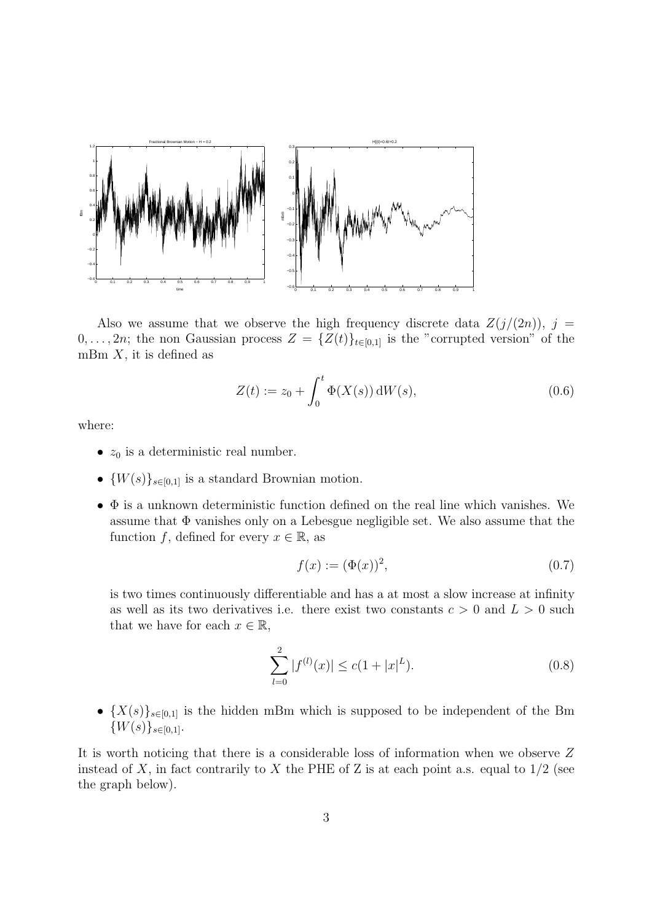

Also we assume that we observe the high frequency discrete data  $Z(j/(2n))$ ,  $j =$  $0, \ldots, 2n$ ; the non Gaussian process  $Z = \{Z(t)\}_{t \in [0,1]}$  is the "corrupted version" of the mBm  $X$ , it is defined as

$$
Z(t) := z_0 + \int_0^t \Phi(X(s)) \, dW(s), \tag{0.6}
$$

where:

- $z_0$  is a deterministic real number.
- $\{W(s)\}_{s\in[0,1]}$  is a standard Brownian motion.
- Φ is a unknown deterministic function defined on the real line which vanishes. We assume that Φ vanishes only on a Lebesgue negligible set. We also assume that the function f, defined for every  $x \in \mathbb{R}$ , as

$$
f(x) := (\Phi(x))^2, \tag{0.7}
$$

is two times continuously differentiable and has a at most a slow increase at infinity as well as its two derivatives i.e. there exist two constants  $c > 0$  and  $L > 0$  such that we have for each  $x \in \mathbb{R}$ ,

$$
\sum_{l=0}^{2} |f^{(l)}(x)| \le c(1+|x|^L). \tag{0.8}
$$

•  ${X(s)}_{s\in[0,1]}$  is the hidden mBm which is supposed to be independent of the Bm  $\{W(s)\}_{s\in[0,1]}.$ 

It is worth noticing that there is a considerable loss of information when we observe Z instead of X, in fact contrarily to X the PHE of Z is at each point a.s. equal to  $1/2$  (see the graph below).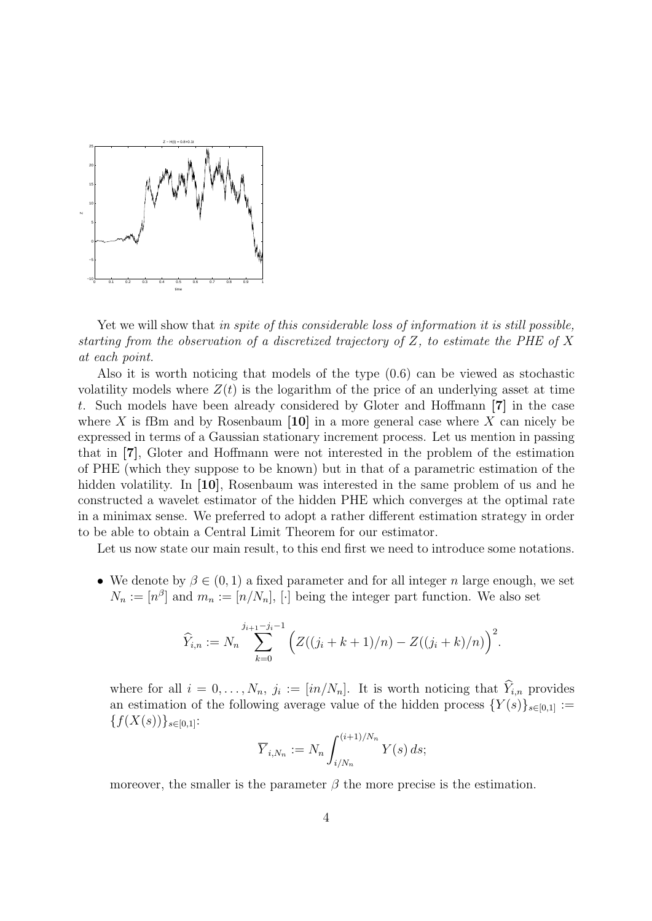

Yet we will show that in spite of this considerable loss of information it is still possible, starting from the observation of a discretized trajectory of Z, to estimate the PHE of X at each point.

Also it is worth noticing that models of the type (0.6) can be viewed as stochastic volatility models where  $Z(t)$  is the logarithm of the price of an underlying asset at time t. Such models have been already considered by Gloter and Hoffmann [7] in the case where X is fBm and by Rosenbaum [10] in a more general case where X can nicely be expressed in terms of a Gaussian stationary increment process. Let us mention in passing that in [7], Gloter and Hoffmann were not interested in the problem of the estimation of PHE (which they suppose to be known) but in that of a parametric estimation of the hidden volatility. In [10], Rosenbaum was interested in the same problem of us and he constructed a wavelet estimator of the hidden PHE which converges at the optimal rate in a minimax sense. We preferred to adopt a rather different estimation strategy in order to be able to obtain a Central Limit Theorem for our estimator.

Let us now state our main result, to this end first we need to introduce some notations.

• We denote by  $\beta \in (0,1)$  a fixed parameter and for all integer n large enough, we set  $N_n := [n^{\beta}]$  and  $m_n := [n/N_n]$ , [·] being the integer part function. We also set

$$
\widehat{Y}_{i,n} := N_n \sum_{k=0}^{j_{i+1}-j_i-1} \left( Z((j_i+k+1)/n) - Z((j_i+k)/n) \right)^2.
$$

where for all  $i = 0, \ldots, N_n$ ,  $j_i := [i n/N_n]$ . It is worth noticing that  $\widehat{Y}_{i,n}$  provides an estimation of the following average value of the hidden process  ${Y(s)}_{s\in[0,1]} :=$  $\{f(X(s))\}_{s\in[0,1]}:$ 

$$
\overline{Y}_{i,N_n} := N_n \int_{i/N_n}^{(i+1)/N_n} Y(s) \, ds;
$$

moreover, the smaller is the parameter  $\beta$  the more precise is the estimation.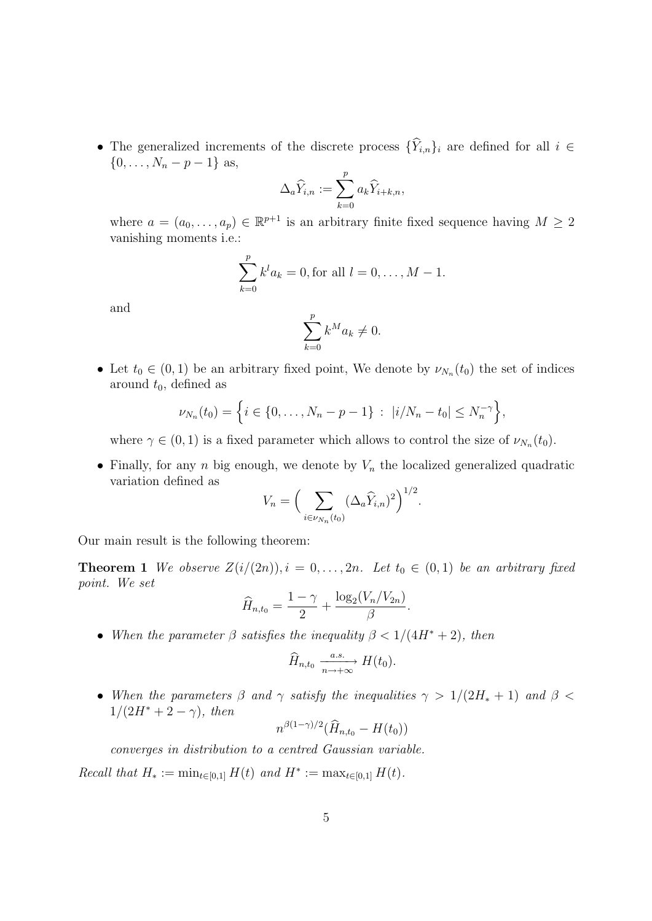• The generalized increments of the discrete process  $\{\hat{Y}_{i,n}\}_i$  are defined for all  $i \in$  $\{0, \ldots, N_n - p - 1\}$  as,

$$
\Delta_a \widehat{Y}_{i,n} := \sum_{k=0}^p a_k \widehat{Y}_{i+k,n},
$$

where  $a = (a_0, \ldots, a_p) \in \mathbb{R}^{p+1}$  is an arbitrary finite fixed sequence having  $M \geq 2$ vanishing moments i.e.:

$$
\sum_{k=0}^{p} k^{l} a_{k} = 0, \text{for all } l = 0, \dots, M - 1.
$$

and

$$
\sum_{k=0}^{p} k^M a_k \neq 0.
$$

• Let  $t_0 \in (0,1)$  be an arbitrary fixed point, We denote by  $\nu_{N_n}(t_0)$  the set of indices around  $t_0$ , defined as

$$
\nu_{N_n}(t_0) = \left\{ i \in \{0, \ldots, N_n - p - 1\} : |i/N_n - t_0| \le N_n^{-\gamma} \right\},\
$$

where  $\gamma \in (0,1)$  is a fixed parameter which allows to control the size of  $\nu_{N_n}(t_0)$ .

• Finally, for any  $n$  big enough, we denote by  $V_n$  the localized generalized quadratic variation defined as  $\sqrt{2}$  $1/2$ 

$$
V_n = \left(\sum_{i \in \nu_{N_n}(t_0)} (\Delta_a \widehat{Y}_{i,n})^2\right)^{1/2}
$$

.

Our main result is the following theorem:

**Theorem 1** We observe  $Z(i/(2n))$ ,  $i = 0, \ldots, 2n$ . Let  $t_0 \in (0,1)$  be an arbitrary fixed point. We set

$$
\widehat{H}_{n,t_0} = \frac{1-\gamma}{2} + \frac{\log_2(V_n/V_{2n})}{\beta}.
$$

• When the parameter  $\beta$  satisfies the inequality  $\beta < 1/(4H^* + 2)$ , then

$$
\widehat{H}_{n,t_0} \xrightarrow[n \to +\infty]{a.s.} H(t_0).
$$

• When the parameters  $\beta$  and  $\gamma$  satisfy the inequalities  $\gamma > 1/(2H_*+1)$  and  $\beta <$  $1/(2H^* + 2 - \gamma)$ , then

$$
n^{\beta(1-\gamma)/2}(\widehat{H}_{n,t_0}-H(t_0))
$$

converges in distribution to a centred Gaussian variable.

Recall that  $H_* := \min_{t \in [0,1]} H(t)$  and  $H^* := \max_{t \in [0,1]} H(t)$ .